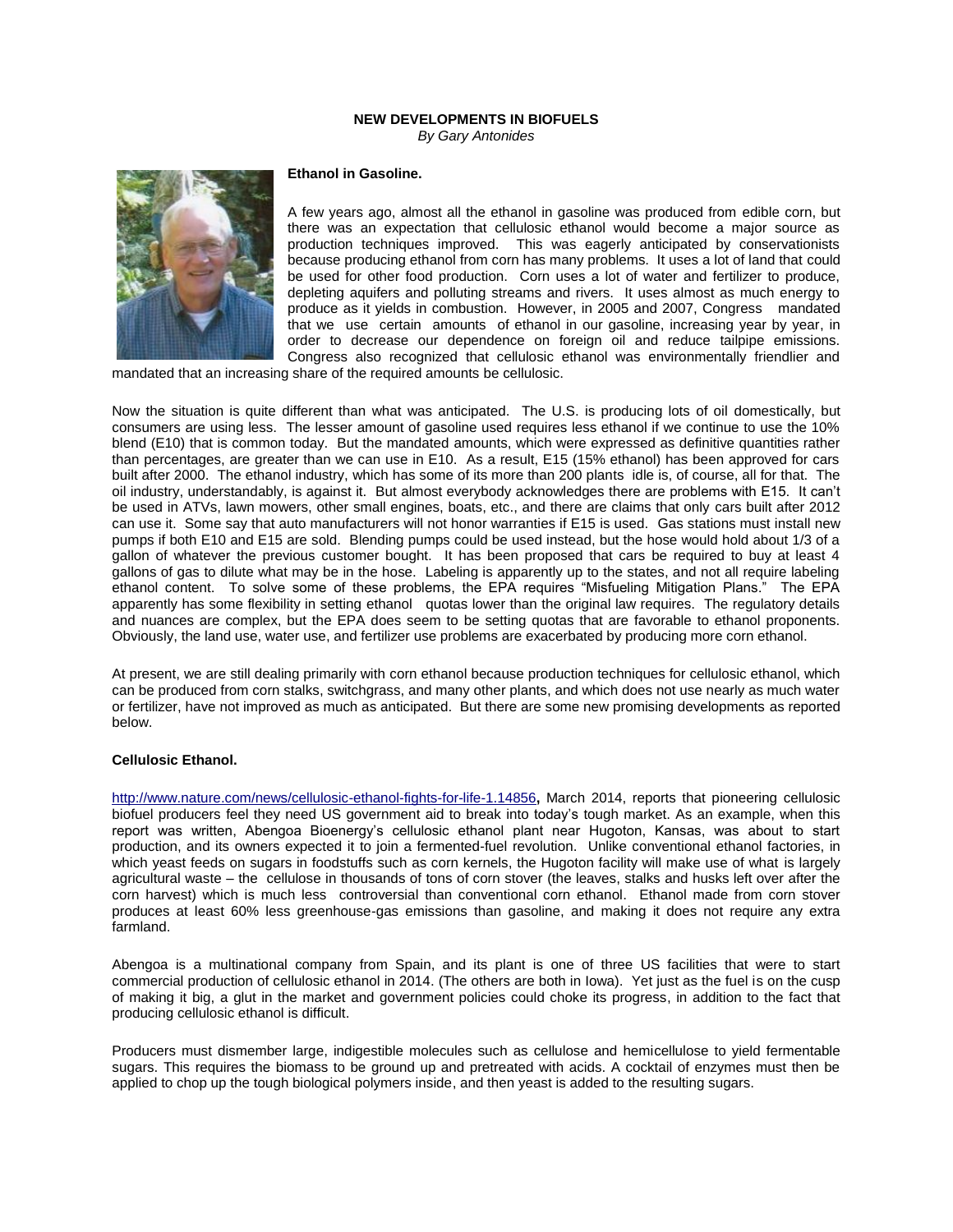## **NEW DEVELOPMENTS IN BIOFUELS** *By Gary Antonides*



# **Ethanol in Gasoline.**

A few years ago, almost all the ethanol in gasoline was produced from edible corn, but there was an expectation that cellulosic ethanol would become a major source as production techniques improved. This was eagerly anticipated by conservationists because producing ethanol from corn has many problems. It uses a lot of land that could be used for other food production. Corn uses a lot of water and fertilizer to produce, depleting aquifers and polluting streams and rivers. It uses almost as much energy to produce as it yields in combustion. However, in 2005 and 2007, Congress mandated that we use certain amounts of ethanol in our gasoline, increasing year by year, in order to decrease our dependence on foreign oil and reduce tailpipe emissions. Congress also recognized that cellulosic ethanol was environmentally friendlier and

mandated that an increasing share of the required amounts be cellulosic.

Now the situation is quite different than what was anticipated. The U.S. is producing lots of oil domestically, but consumers are using less. The lesser amount of gasoline used requires less ethanol if we continue to use the 10% blend (E10) that is common today. But the mandated amounts, which were expressed as definitive quantities rather than percentages, are greater than we can use in E10. As a result, E15 (15% ethanol) has been approved for cars built after 2000. The ethanol industry, which has some of its more than 200 plants idle is, of course, all for that. The oil industry, understandably, is against it. But almost everybody acknowledges there are problems with E15. It can't be used in ATVs, lawn mowers, other small engines, boats, etc., and there are claims that only cars built after 2012 can use it. Some say that auto manufacturers will not honor warranties if E15 is used. Gas stations must install new pumps if both E10 and E15 are sold. Blending pumps could be used instead, but the hose would hold about 1/3 of a gallon of whatever the previous customer bought. It has been proposed that cars be required to buy at least 4 gallons of gas to dilute what may be in the hose. Labeling is apparently up to the states, and not all require labeling ethanol content. To solve some of these problems, the EPA requires "Misfueling Mitigation Plans." The EPA apparently has some flexibility in setting ethanol quotas lower than the original law requires. The regulatory details and nuances are complex, but the EPA does seem to be setting quotas that are favorable to ethanol proponents. Obviously, the land use, water use, and fertilizer use problems are exacerbated by producing more corn ethanol.

At present, we are still dealing primarily with corn ethanol because production techniques for cellulosic ethanol, which can be produced from corn stalks, switchgrass, and many other plants, and which does not use nearly as much water or fertilizer, have not improved as much as anticipated. But there are some new promising developments as reported below.

#### **Cellulosic Ethanol.**

<http://www.nature.com/news/cellulosic-ethanol-fights-for-life-1.14856>**,** March 2014, reports that pioneering cellulosic biofuel producers feel they need US government aid to break into today's tough market. As an example, when this report was written, Abengoa Bioenergy's cellulosic ethanol plant near Hugoton, Kansas, was about to start production, and its owners expected it to join a fermented-fuel revolution. Unlike conventional ethanol factories, in which yeast feeds on sugars in foodstuffs such as corn kernels, the Hugoton facility will make use of what is largely agricultural waste – the cellulose in thousands of tons of corn stover (the leaves, stalks and husks left over after the corn harvest) which is much less controversial than conventional corn ethanol. Ethanol made from corn stover produces at least 60% less greenhouse-gas emissions than gasoline, and making it does not require any extra farmland.

Abengoa is a multinational company from Spain, and its plant is one of three US facilities that were to start commercial production of cellulosic ethanol in 2014. (The others are both in Iowa). Yet just as the fuel is on the cusp of making it big, a glut in the market and government policies could choke its progress, in addition to the fact that producing cellulosic ethanol is difficult.

Producers must dismember large, indigestible molecules such as cellulose and hemicellulose to yield fermentable sugars. This requires the biomass to be ground up and pretreated with acids. A cocktail of enzymes must then be applied to chop up the tough biological polymers inside, and then yeast is added to the resulting sugars.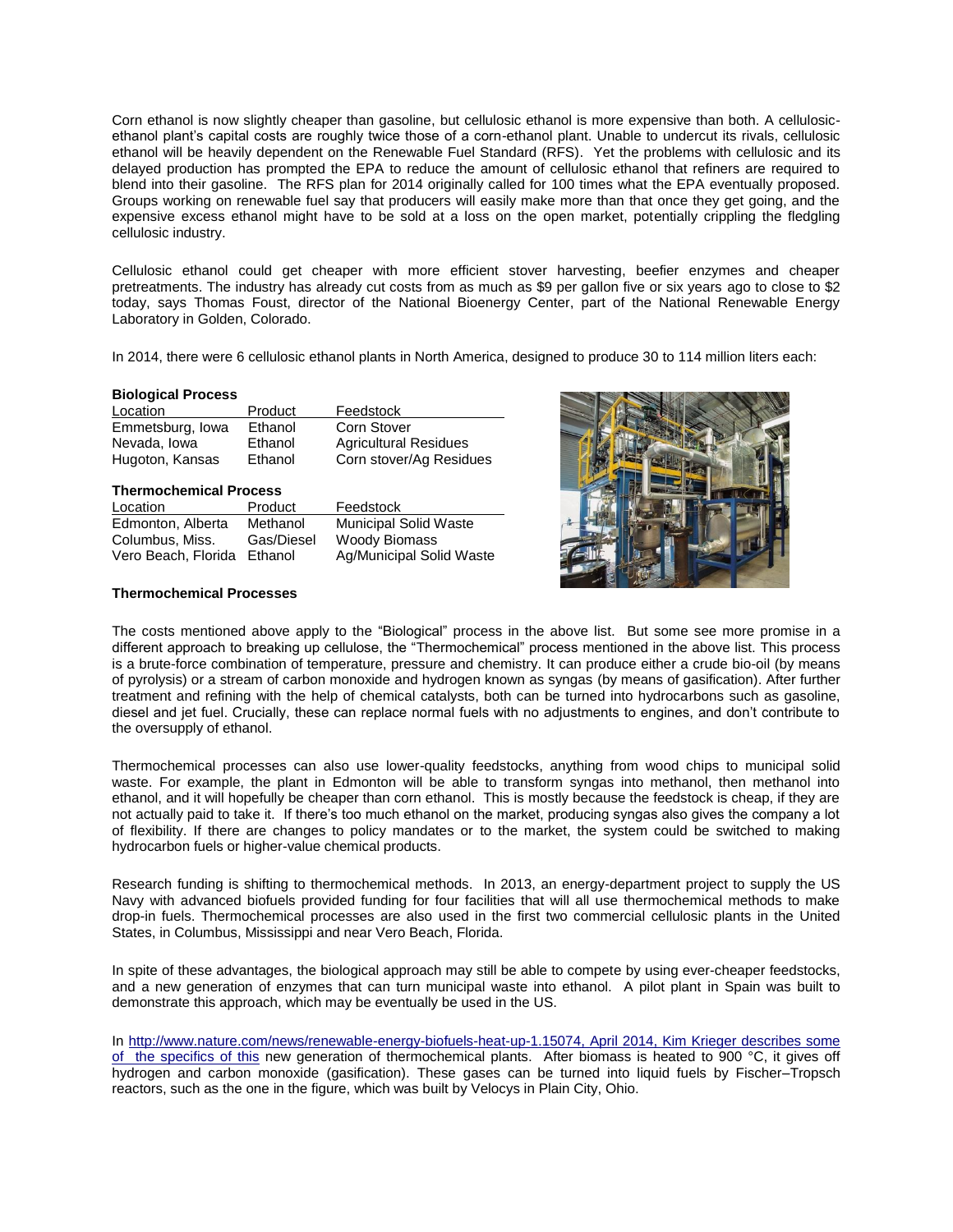Corn ethanol is now slightly cheaper than gasoline, but cellulosic ethanol is more expensive than both. A cellulosicethanol plant's capital costs are roughly twice those of a corn-ethanol plant. Unable to undercut its rivals, cellulosic ethanol will be heavily dependent on the Renewable Fuel Standard (RFS). Yet the problems with cellulosic and its delayed production has prompted the EPA to reduce the amount of cellulosic ethanol that refiners are required to blend into their gasoline. The RFS plan for 2014 originally called for 100 times what the EPA eventually proposed. Groups working on renewable fuel say that producers will easily make more than that once they get going, and the expensive excess ethanol might have to be sold at a loss on the open market, potentially crippling the fledgling cellulosic industry.

Cellulosic ethanol could get cheaper with more efficient stover harvesting, beefier enzymes and cheaper pretreatments. The industry has already cut costs from as much as \$9 per gallon five or six years ago to close to \$2 today, says Thomas Foust, director of the National Bioenergy Center, part of the National Renewable Energy Laboratory in Golden, Colorado.

In 2014, there were 6 cellulosic ethanol plants in North America, designed to produce 30 to 114 million liters each:

### **Biological Process**

| Location         | Product | Feedstock                    |
|------------------|---------|------------------------------|
| Emmetsburg, Iowa | Ethanol | <b>Corn Stover</b>           |
| Nevada, Iowa     | Ethanol | <b>Agricultural Residues</b> |
| Hugoton, Kansas  | Ethanol | Corn stover/Ag Residues      |

### **Thermochemical Process**

| Location            | Product    | Feedstock                    |  |
|---------------------|------------|------------------------------|--|
| Edmonton, Alberta   | Methanol   | <b>Municipal Solid Waste</b> |  |
| Columbus, Miss.     | Gas/Diesel | <b>Woody Biomass</b>         |  |
| Vero Beach, Florida | Ethanol    | Ag/Municipal Solid Waste     |  |

# **Thermochemical Processes**



The costs mentioned above apply to the "Biological" process in the above list. But some see more promise in a different approach to breaking up cellulose, the "Thermochemical" process mentioned in the above list. This process is a brute-force combination of temperature, pressure and chemistry. It can produce either a crude bio-oil (by means of pyrolysis) or a stream of carbon monoxide and hydrogen known as syngas (by means of gasification). After further treatment and refining with the help of chemical catalysts, both can be turned into hydrocarbons such as gasoline, diesel and jet fuel. Crucially, these can replace normal fuels with no adjustments to engines, and don't contribute to the oversupply of ethanol.

Thermochemical processes can also use lower-quality feedstocks, anything from wood chips to municipal solid waste. For example, the plant in Edmonton will be able to transform syngas into methanol, then methanol into ethanol, and it will hopefully be cheaper than corn ethanol. This is mostly because the feedstock is cheap, if they are not actually paid to take it. If there's too much ethanol on the market, producing syngas also gives the company a lot of flexibility. If there are changes to policy mandates or to the market, the system could be switched to making hydrocarbon fuels or higher-value chemical products.

Research funding is shifting to thermochemical methods. In 2013, an energy-department project to supply the US Navy with advanced biofuels provided funding for four facilities that will all use thermochemical methods to make drop-in fuels. Thermochemical processes are also used in the first two commercial cellulosic plants in the United States, in Columbus, Mississippi and near Vero Beach, Florida.

In spite of these advantages, the biological approach may still be able to compete by using ever-cheaper feedstocks, and a new generation of enzymes that can turn municipal waste into ethanol. A pilot plant in Spain was built to demonstrate this approach, which may be eventually be used in the US.

In [http://www.nature.com/news/renewable-energy-biofuels-heat-up-1.15074,](http://www.nature.com/news/renewable-energy-biofuels-heat-up-1.15074) April 2014, Kim Krieger describes some of the specifics of this new generation of thermochemical plants. After biomass is heated to 900 °C, it gives off hydrogen and carbon monoxide (gasification). These gases can be turned into liquid fuels by Fischer–Tropsch reactors, such as the one in the figure, which was built by Velocys in Plain City, Ohio.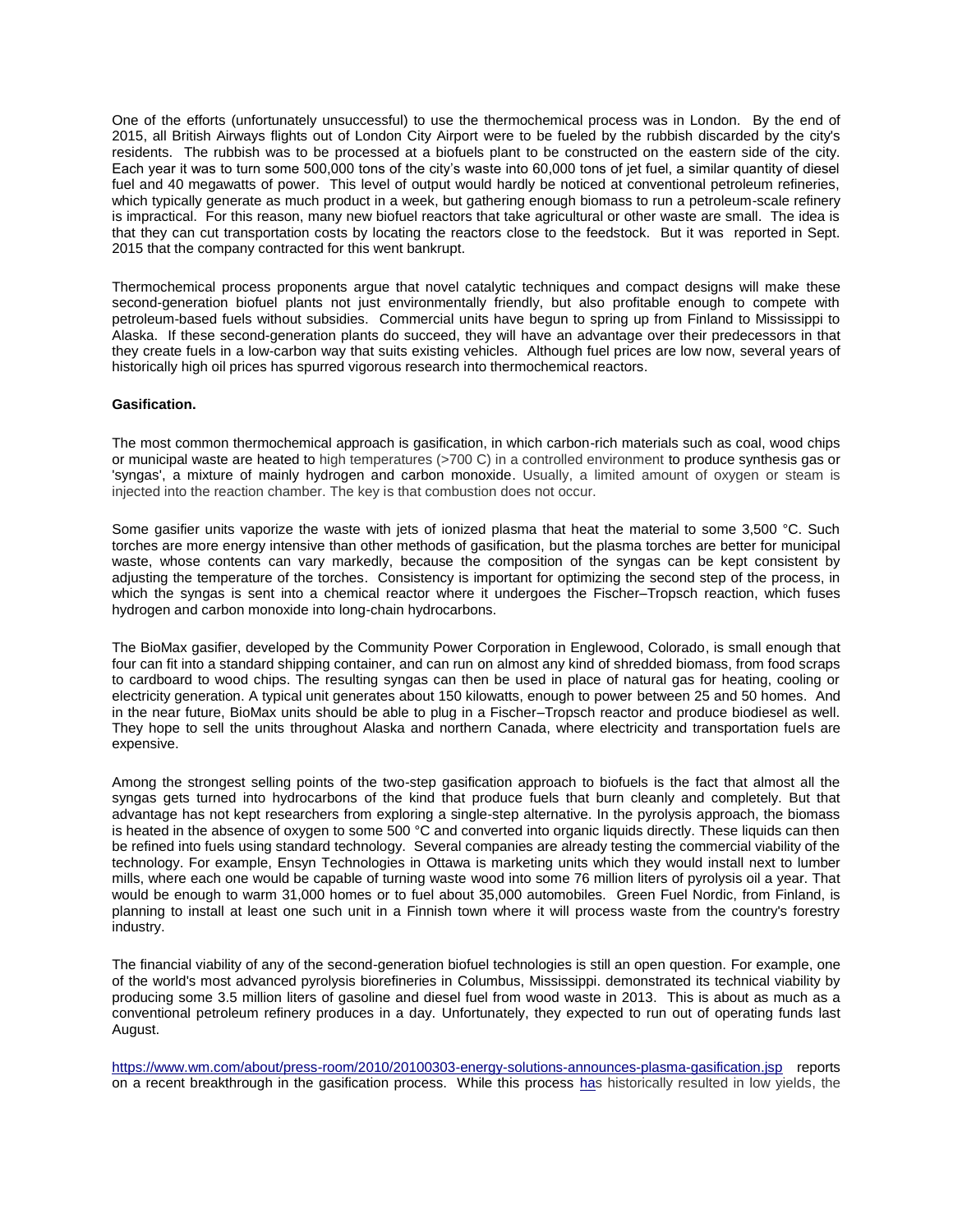One of the efforts (unfortunately unsuccessful) to use the thermochemical process was in London. By the end of 2015, all British Airways flights out of London City Airport were to be fueled by the rubbish discarded by the city's residents. The rubbish was to be processed at a biofuels plant to be constructed on the eastern side of the city. Each year it was to turn some 500,000 tons of the city's waste into 60,000 tons of jet fuel, a similar quantity of diesel fuel and 40 megawatts of power. This level of output would hardly be noticed at conventional petroleum refineries, which typically generate as much product in a week, but gathering enough biomass to run a petroleum-scale refinery is impractical. For this reason, many new biofuel reactors that take agricultural or other waste are small. The idea is that they can cut transportation costs by locating the reactors close to the feedstock. But it was reported in Sept. 2015 that the company contracted for this went bankrupt.

Thermochemical process proponents argue that novel catalytic techniques and compact designs will make these second-generation biofuel plants not just environmentally friendly, but also profitable enough to compete with petroleum-based fuels without subsidies. Commercial units have begun to spring up from Finland to Mississippi to Alaska. If these second-generation plants do succeed, they will have an advantage over their predecessors in that they create fuels in a low-carbon way that suits existing vehicles. Although fuel prices are low now, several years of historically high oil prices has spurred vigorous research into thermochemical reactors.

## **Gasification.**

The most common thermochemical approach is gasification, in which carbon-rich materials such as coal, wood chips or municipal waste are heated to high temperatures (>700 C) in a controlled environment to produce synthesis gas or 'syngas', a mixture of mainly hydrogen and carbon monoxide. Usually, a limited amount of oxygen or steam is injected into the reaction chamber. The key is that combustion does not occur.

Some gasifier units vaporize the waste with jets of ionized plasma that heat the material to some 3,500 °C. Such torches are more energy intensive than other methods of gasification, but the plasma torches are better for municipal waste, whose contents can vary markedly, because the composition of the syngas can be kept consistent by adjusting the temperature of the torches. Consistency is important for optimizing the second step of the process, in which the syngas is sent into a chemical reactor where it undergoes the Fischer–Tropsch reaction, which fuses hydrogen and carbon monoxide into long-chain hydrocarbons.

The BioMax gasifier, developed by the Community Power Corporation in Englewood, Colorado, is small enough that four can fit into a standard shipping container, and can run on almost any kind of shredded biomass, from food scraps to cardboard to wood chips. The resulting syngas can then be used in place of natural gas for heating, cooling or electricity generation. A typical unit generates about 150 kilowatts, enough to power between 25 and 50 homes. And in the near future, BioMax units should be able to plug in a Fischer–Tropsch reactor and produce biodiesel as well. They hope to sell the units throughout Alaska and northern Canada, where electricity and transportation fuels are expensive.

Among the strongest selling points of the two-step gasification approach to biofuels is the fact that almost all the syngas gets turned into hydrocarbons of the kind that produce fuels that burn cleanly and completely. But that advantage has not kept researchers from exploring a single-step alternative. In the pyrolysis approach, the biomass is heated in the absence of oxygen to some 500  $^{\circ}$ C and converted into organic liquids directly. These liquids can then be refined into fuels using standard technology. Several companies are already testing the commercial viability of the technology. For example, Ensyn Technologies in Ottawa is marketing units which they would install next to lumber mills, where each one would be capable of turning waste wood into some 76 million liters of pyrolysis oil a year. That would be enough to warm 31,000 homes or to fuel about 35,000 automobiles. Green Fuel Nordic, from Finland, is planning to install at least one such unit in a Finnish town where it will process waste from the country's forestry industry.

The financial viability of any of the second-generation biofuel technologies is still an open question. For example, one of the world's most advanced pyrolysis biorefineries in Columbus, Mississippi. demonstrated its technical viability by producing some 3.5 million liters of gasoline and diesel fuel from wood waste in 2013. This is about as much as a conventional petroleum refinery produces in a day. Unfortunately, they expected to run out of operating funds last August.

<https://www.wm.com/about/press-room/2010/20100303-energy-solutions-announces-plasma-gasification.jsp> reports on a recent breakthrough in the gasification process. While this process has historically resulted in low yields, the